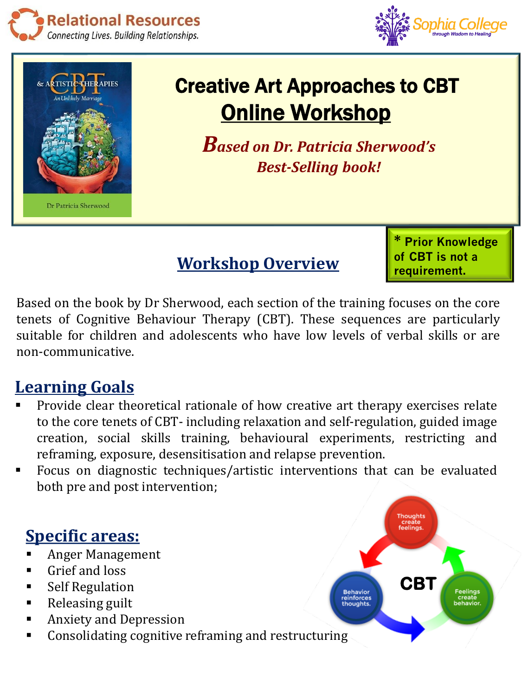





## Creative Art Approaches to CBT **Online Workshop**

*Based on Dr. Patricia Sherwood's Best-Selling book!* 

**Workshop Overview**

**\* Prior Knowledge of CBT is not a requirement.**

Based on the book by Dr Sherwood, each section of the training focuses on the core tenets of Cognitive Behaviour Therapy (CBT). These sequences are particularly suitable for children and adolescents who have low levels of verbal skills or are non-communicative.

## **Learning Goals**

- Provide clear theoretical rationale of how creative art therapy exercises relate to the core tenets of CBT- including relaxation and self-regulation, guided image creation, social skills training, behavioural experiments, restricting and reframing, exposure, desensitisation and relapse prevention.
- Focus on diagnostic techniques/artistic interventions that can be evaluated both pre and post intervention;

## **Specific areas:**

- **Anger Management**
- Grief and loss
- Self Regulation
- Releasing guilt
- Anxiety and Depression
- Consolidating cognitive reframing and restructuring